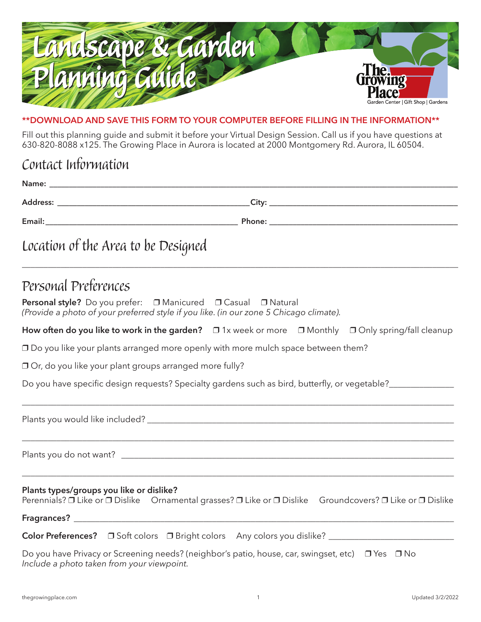

## **\*\*Download and save this form to your computer before filling in the information\*\***

Fill out this planning guide and submit it before your Virtual Design Session. Call us if you have questions at 630-820-8088 x125. The Growing Place in Aurora is located at 2000 Montgomery Rd. Aurora, IL 60504.

## Contact Information

| Location of the Area to be Designed |  |
|-------------------------------------|--|
|                                     |  |

## Personal Preferences

| Personal style? Do you prefer: □ Manicured □ Casual □ Natural                          |  |  |  |
|----------------------------------------------------------------------------------------|--|--|--|
| (Provide a photo of your preferred style if you like. (in our zone 5 Chicago climate). |  |  |  |

| How often do you like to work in the garden? $\Box$ 1x week or more $\Box$ Monthly $\Box$ Only spring/fall cleanup |  |  |  |
|--------------------------------------------------------------------------------------------------------------------|--|--|--|
|--------------------------------------------------------------------------------------------------------------------|--|--|--|

\_\_\_\_\_\_\_\_\_\_\_\_\_\_\_\_\_\_\_\_\_\_\_\_\_\_\_\_\_\_\_\_\_\_\_\_\_\_\_\_\_\_\_\_\_\_\_\_\_\_\_\_\_\_\_\_\_\_\_\_\_\_\_\_\_\_\_\_\_\_\_\_\_\_\_\_\_\_\_\_\_\_\_\_\_\_\_\_\_\_\_\_\_\_\_\_\_\_\_\_

\_\_\_\_\_\_\_\_\_\_\_\_\_\_\_\_\_\_\_\_\_\_\_\_\_\_\_\_\_\_\_\_\_\_\_\_\_\_\_\_\_\_\_\_\_\_\_\_\_\_\_\_\_\_\_\_\_\_\_\_\_\_\_\_\_\_\_\_\_\_\_\_\_\_\_\_\_\_\_\_\_\_\_\_\_\_\_\_\_\_\_\_\_\_\_\_\_\_\_\_

 $\Box$  Do you like your plants arranged more openly with more mulch space between them?

 $\Box$  Or, do you like your plant groups arranged more fully?

Do you have specific design requests? Specialty gardens such as bird, butterfly, or vegetable?

Plants you would like included? **Example 2018** 

Plants you do not want?

## **Plants types/groups you like or dislike?**

Perennials? D Like or D Dislike Ornamental grasses? D Like or D Dislike Groundcovers? D Like or D Dislike

\_\_\_\_\_\_\_\_\_\_\_\_\_\_\_\_\_\_\_\_\_\_\_\_\_\_\_\_\_\_\_\_\_\_\_\_\_\_\_\_\_\_\_\_\_\_\_\_\_\_\_\_\_\_\_\_\_\_\_\_\_\_\_\_\_\_\_\_\_\_\_\_\_\_\_\_\_\_\_\_\_\_\_\_\_\_\_\_\_\_\_\_\_\_\_\_\_\_\_\_

**Fragrances?** \_\_\_\_\_\_\_\_\_\_\_\_\_\_\_\_\_\_\_\_\_\_\_\_\_\_\_\_\_\_\_\_\_\_\_\_\_\_\_\_\_\_\_\_\_\_\_\_\_\_\_\_\_\_\_\_\_\_\_\_\_\_\_\_\_\_\_\_\_\_\_\_\_\_\_\_\_\_\_\_\_\_\_\_\_\_\_\_

|  |  |  | <b>Color Preferences?</b> $\Box$ Soft colors $\Box$ Bright colors Any colors you dislike? |  |
|--|--|--|-------------------------------------------------------------------------------------------|--|
|--|--|--|-------------------------------------------------------------------------------------------|--|

Do you have Privacy or Screening needs? (neighbor's patio, house, car, swingset, etc) □ Yes □ No *Include a photo taken from your viewpoint.*